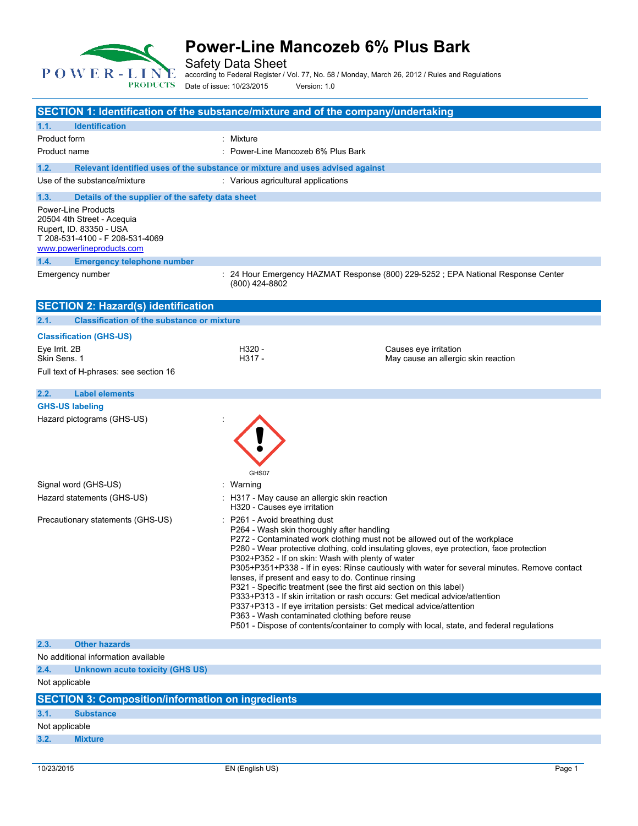

Safety Data Sheet

according to Federal Register / Vol. 77, No. 58 / Monday, March 26, 2012 / Rules and Regulations

Date of issue: 10/23/2015 Version: 1.0

| SECTION 1: Identification of the substance/mixture and of the company/undertaking                                                                                                                |                                                                                                                                                                                                                                                                                                                                                                                                                                                                                                                                                     |                                                                                                                                                                                                                                                                                       |
|--------------------------------------------------------------------------------------------------------------------------------------------------------------------------------------------------|-----------------------------------------------------------------------------------------------------------------------------------------------------------------------------------------------------------------------------------------------------------------------------------------------------------------------------------------------------------------------------------------------------------------------------------------------------------------------------------------------------------------------------------------------------|---------------------------------------------------------------------------------------------------------------------------------------------------------------------------------------------------------------------------------------------------------------------------------------|
| 1.1.<br><b>Identification</b>                                                                                                                                                                    |                                                                                                                                                                                                                                                                                                                                                                                                                                                                                                                                                     |                                                                                                                                                                                                                                                                                       |
| Product form                                                                                                                                                                                     | Mixture                                                                                                                                                                                                                                                                                                                                                                                                                                                                                                                                             |                                                                                                                                                                                                                                                                                       |
| Product name                                                                                                                                                                                     | Power-Line Mancozeb 6% Plus Bark                                                                                                                                                                                                                                                                                                                                                                                                                                                                                                                    |                                                                                                                                                                                                                                                                                       |
| 1.2.                                                                                                                                                                                             | Relevant identified uses of the substance or mixture and uses advised against                                                                                                                                                                                                                                                                                                                                                                                                                                                                       |                                                                                                                                                                                                                                                                                       |
| Use of the substance/mixture                                                                                                                                                                     | : Various agricultural applications                                                                                                                                                                                                                                                                                                                                                                                                                                                                                                                 |                                                                                                                                                                                                                                                                                       |
| 1.3.<br>Details of the supplier of the safety data sheet                                                                                                                                         |                                                                                                                                                                                                                                                                                                                                                                                                                                                                                                                                                     |                                                                                                                                                                                                                                                                                       |
| <b>Power-Line Products</b><br>20504 4th Street - Acequia<br>Rupert, ID. 83350 - USA<br>T 208-531-4100 - F 208-531-4069<br>www.powerlineproducts.com<br>1.4.<br><b>Emergency telephone number</b> |                                                                                                                                                                                                                                                                                                                                                                                                                                                                                                                                                     |                                                                                                                                                                                                                                                                                       |
| Emergency number                                                                                                                                                                                 | (800) 424-8802                                                                                                                                                                                                                                                                                                                                                                                                                                                                                                                                      | : 24 Hour Emergency HAZMAT Response (800) 229-5252 ; EPA National Response Center                                                                                                                                                                                                     |
| <b>SECTION 2: Hazard(s) identification</b>                                                                                                                                                       |                                                                                                                                                                                                                                                                                                                                                                                                                                                                                                                                                     |                                                                                                                                                                                                                                                                                       |
| 2.1.<br><b>Classification of the substance or mixture</b>                                                                                                                                        |                                                                                                                                                                                                                                                                                                                                                                                                                                                                                                                                                     |                                                                                                                                                                                                                                                                                       |
| <b>Classification (GHS-US)</b>                                                                                                                                                                   |                                                                                                                                                                                                                                                                                                                                                                                                                                                                                                                                                     |                                                                                                                                                                                                                                                                                       |
| Eye Irrit. 2B                                                                                                                                                                                    | H320 -                                                                                                                                                                                                                                                                                                                                                                                                                                                                                                                                              | Causes eye irritation                                                                                                                                                                                                                                                                 |
| Skin Sens. 1                                                                                                                                                                                     | H317 -                                                                                                                                                                                                                                                                                                                                                                                                                                                                                                                                              | May cause an allergic skin reaction                                                                                                                                                                                                                                                   |
| Full text of H-phrases: see section 16                                                                                                                                                           |                                                                                                                                                                                                                                                                                                                                                                                                                                                                                                                                                     |                                                                                                                                                                                                                                                                                       |
| 2.2.<br><b>Label elements</b>                                                                                                                                                                    |                                                                                                                                                                                                                                                                                                                                                                                                                                                                                                                                                     |                                                                                                                                                                                                                                                                                       |
| <b>GHS-US labeling</b><br>Hazard pictograms (GHS-US)                                                                                                                                             |                                                                                                                                                                                                                                                                                                                                                                                                                                                                                                                                                     |                                                                                                                                                                                                                                                                                       |
|                                                                                                                                                                                                  | GHS07                                                                                                                                                                                                                                                                                                                                                                                                                                                                                                                                               |                                                                                                                                                                                                                                                                                       |
| Signal word (GHS-US)                                                                                                                                                                             | Warning                                                                                                                                                                                                                                                                                                                                                                                                                                                                                                                                             |                                                                                                                                                                                                                                                                                       |
| Hazard statements (GHS-US)                                                                                                                                                                       | : H317 - May cause an allergic skin reaction<br>H320 - Causes eye irritation                                                                                                                                                                                                                                                                                                                                                                                                                                                                        |                                                                                                                                                                                                                                                                                       |
| Precautionary statements (GHS-US)                                                                                                                                                                | P261 - Avoid breathing dust<br>P264 - Wash skin thoroughly after handling<br>P272 - Contaminated work clothing must not be allowed out of the workplace<br>P302+P352 - If on skin: Wash with plenty of water<br>lenses, if present and easy to do. Continue rinsing<br>P321 - Specific treatment (see the first aid section on this label)<br>P333+P313 - If skin irritation or rash occurs: Get medical advice/attention<br>P337+P313 - If eye irritation persists: Get medical advice/attention<br>P363 - Wash contaminated clothing before reuse | P280 - Wear protective clothing, cold insulating gloves, eye protection, face protection<br>P305+P351+P338 - If in eyes: Rinse cautiously with water for several minutes. Remove contact<br>P501 - Dispose of contents/container to comply with local, state, and federal regulations |
| 2.3.<br><b>Other hazards</b>                                                                                                                                                                     |                                                                                                                                                                                                                                                                                                                                                                                                                                                                                                                                                     |                                                                                                                                                                                                                                                                                       |
| No additional information available                                                                                                                                                              |                                                                                                                                                                                                                                                                                                                                                                                                                                                                                                                                                     |                                                                                                                                                                                                                                                                                       |
| 2.4.<br>Unknown acute toxicity (GHS US)<br>Not applicable                                                                                                                                        |                                                                                                                                                                                                                                                                                                                                                                                                                                                                                                                                                     |                                                                                                                                                                                                                                                                                       |
|                                                                                                                                                                                                  |                                                                                                                                                                                                                                                                                                                                                                                                                                                                                                                                                     |                                                                                                                                                                                                                                                                                       |
| <b>SECTION 3: Composition/information on ingredients</b>                                                                                                                                         |                                                                                                                                                                                                                                                                                                                                                                                                                                                                                                                                                     |                                                                                                                                                                                                                                                                                       |
| 3.1.<br><b>Substance</b><br>Not applicable                                                                                                                                                       |                                                                                                                                                                                                                                                                                                                                                                                                                                                                                                                                                     |                                                                                                                                                                                                                                                                                       |
| 3.2.<br><b>Mixture</b>                                                                                                                                                                           |                                                                                                                                                                                                                                                                                                                                                                                                                                                                                                                                                     |                                                                                                                                                                                                                                                                                       |
|                                                                                                                                                                                                  |                                                                                                                                                                                                                                                                                                                                                                                                                                                                                                                                                     |                                                                                                                                                                                                                                                                                       |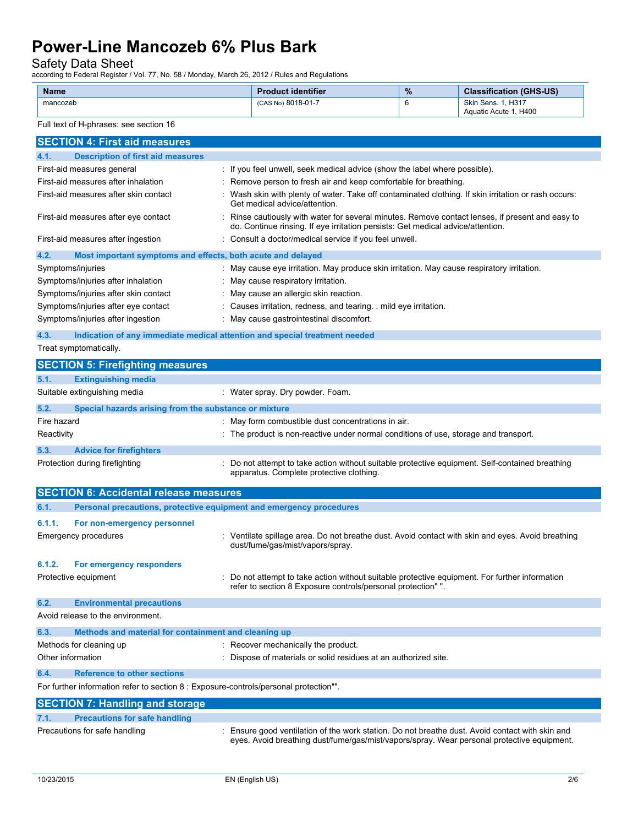Safety Data Sheet

according to Federal Register / Vol. 77, No. 58 / Monday, March 26, 2012 / Rules and Regulations

| <b>Name</b> | roduct identifier         | $\frac{9}{6}$ | (GHS-US)<br><b>Classification</b>                |
|-------------|---------------------------|---------------|--------------------------------------------------|
| mancozeb    | 8018-01-7<br>(CAS<br>`No) |               | H317<br>Skin<br>Sens.<br>H400<br>Aquatic Acute 1 |

### Full text of H-phrases: see section 16

| <u>I UII ICALUI I I-PHILASCS. SCC SCUIUII TU</u>                                      |                                                                                                                                                                                     |  |  |  |
|---------------------------------------------------------------------------------------|-------------------------------------------------------------------------------------------------------------------------------------------------------------------------------------|--|--|--|
| <b>SECTION 4: First aid measures</b>                                                  |                                                                                                                                                                                     |  |  |  |
| <b>Description of first aid measures</b><br>4.1.                                      |                                                                                                                                                                                     |  |  |  |
| First-aid measures general                                                            | : If you feel unwell, seek medical advice (show the label where possible).                                                                                                          |  |  |  |
| First-aid measures after inhalation                                                   | : Remove person to fresh air and keep comfortable for breathing.                                                                                                                    |  |  |  |
| First-aid measures after skin contact                                                 | Wash skin with plenty of water. Take off contaminated clothing. If skin irritation or rash occurs:<br>Get medical advice/attention.                                                 |  |  |  |
| First-aid measures after eye contact                                                  | : Rinse cautiously with water for several minutes. Remove contact lenses, if present and easy to<br>do. Continue rinsing. If eye irritation persists: Get medical advice/attention. |  |  |  |
| First-aid measures after ingestion                                                    | : Consult a doctor/medical service if you feel unwell.                                                                                                                              |  |  |  |
| 4.2.<br>Most important symptoms and effects, both acute and delayed                   |                                                                                                                                                                                     |  |  |  |
| Symptoms/injuries                                                                     | May cause eye irritation. May produce skin irritation. May cause respiratory irritation.                                                                                            |  |  |  |
| Symptoms/injuries after inhalation                                                    | May cause respiratory irritation.                                                                                                                                                   |  |  |  |
| Symptoms/injuries after skin contact                                                  | : May cause an allergic skin reaction.                                                                                                                                              |  |  |  |
| Symptoms/injuries after eye contact                                                   | Causes irritation, redness, and tearing. . mild eye irritation.                                                                                                                     |  |  |  |
| Symptoms/injuries after ingestion                                                     | : May cause gastrointestinal discomfort.                                                                                                                                            |  |  |  |
| 4.3.<br>Indication of any immediate medical attention and special treatment needed    |                                                                                                                                                                                     |  |  |  |
| Treat symptomatically.                                                                |                                                                                                                                                                                     |  |  |  |
| <b>SECTION 5: Firefighting measures</b>                                               |                                                                                                                                                                                     |  |  |  |
| 5.1.<br><b>Extinguishing media</b>                                                    |                                                                                                                                                                                     |  |  |  |
| Suitable extinguishing media                                                          | : Water spray. Dry powder. Foam.                                                                                                                                                    |  |  |  |
| 5.2.<br>Special hazards arising from the substance or mixture                         |                                                                                                                                                                                     |  |  |  |
| Fire hazard                                                                           | : May form combustible dust concentrations in air.                                                                                                                                  |  |  |  |
| Reactivity                                                                            | : The product is non-reactive under normal conditions of use, storage and transport.                                                                                                |  |  |  |
|                                                                                       |                                                                                                                                                                                     |  |  |  |
| 5.3.<br><b>Advice for firefighters</b>                                                |                                                                                                                                                                                     |  |  |  |
| Protection during firefighting                                                        | : Do not attempt to take action without suitable protective equipment. Self-contained breathing<br>apparatus. Complete protective clothing.                                         |  |  |  |
| <b>SECTION 6: Accidental release measures</b>                                         |                                                                                                                                                                                     |  |  |  |
| Personal precautions, protective equipment and emergency procedures<br>6.1.           |                                                                                                                                                                                     |  |  |  |
| 6.1.1.<br>For non-emergency personnel                                                 |                                                                                                                                                                                     |  |  |  |
| <b>Emergency procedures</b>                                                           | : Ventilate spillage area. Do not breathe dust. Avoid contact with skin and eyes. Avoid breathing<br>dust/fume/gas/mist/vapors/spray.                                               |  |  |  |
| 6.1.2.<br>For emergency responders                                                    |                                                                                                                                                                                     |  |  |  |
| Protective equipment                                                                  | Do not attempt to take action without suitable protective equipment. For further information                                                                                        |  |  |  |
|                                                                                       | refer to section 8 Exposure controls/personal protection" ".                                                                                                                        |  |  |  |
| 6.2.<br><b>Environmental precautions</b>                                              |                                                                                                                                                                                     |  |  |  |
| Avoid release to the environment.                                                     |                                                                                                                                                                                     |  |  |  |
| 6.3.<br>Methods and material for containment and cleaning up                          |                                                                                                                                                                                     |  |  |  |
| : Recover mechanically the product.<br>Methods for cleaning up                        |                                                                                                                                                                                     |  |  |  |
| Other information                                                                     | : Dispose of materials or solid residues at an authorized site.                                                                                                                     |  |  |  |
| 6.4.<br><b>Reference to other sections</b>                                            |                                                                                                                                                                                     |  |  |  |
| For further information refer to section 8 : Exposure-controls/personal protection"". |                                                                                                                                                                                     |  |  |  |
|                                                                                       |                                                                                                                                                                                     |  |  |  |

|      | <b>SECTION 7: Handling and storage</b> |                                                                                                                                                                                               |
|------|----------------------------------------|-----------------------------------------------------------------------------------------------------------------------------------------------------------------------------------------------|
| 7.1. | <b>Precautions for safe handling</b>   |                                                                                                                                                                                               |
|      | Precautions for safe handling          | : Ensure good ventilation of the work station. Do not breathe dust. Avoid contact with skin and<br>eyes. Avoid breathing dust/fume/gas/mist/vapors/spray. Wear personal protective equipment. |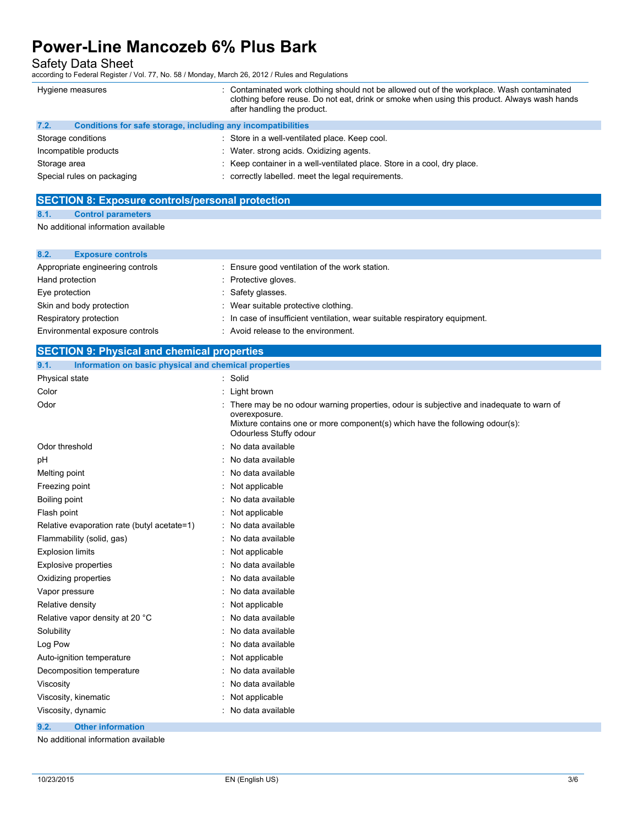Safety Data Sheet

according to Federal Register / Vol. 77, No. 58 / Monday, March 26, 2012 / Rules and Regulations

| Hygiene measures |                                                              | : Contaminated work clothing should not be allowed out of the workplace. Wash contaminated<br>clothing before reuse. Do not eat, drink or smoke when using this product. Always wash hands<br>after handling the product. |  |
|------------------|--------------------------------------------------------------|---------------------------------------------------------------------------------------------------------------------------------------------------------------------------------------------------------------------------|--|
| 7.2.             | Conditions for safe storage, including any incompatibilities |                                                                                                                                                                                                                           |  |
|                  | Storage conditions                                           | : Store in a well-ventilated place. Keep cool.                                                                                                                                                                            |  |
|                  | Incompatible products                                        | : Water, strong acids. Oxidizing agents.                                                                                                                                                                                  |  |
| Storage area     |                                                              | : Keep container in a well-ventilated place. Store in a cool, dry place.                                                                                                                                                  |  |
|                  | Special rules on packaging                                   | : correctly labelled, meet the legal requirements.                                                                                                                                                                        |  |

### **SECTION 8: Exposure controls/personal protection**

### **8.1. Control parameters**

No additional information available

| 8.2.<br><b>Exposure controls</b>                                                   |                                                                             |  |  |  |
|------------------------------------------------------------------------------------|-----------------------------------------------------------------------------|--|--|--|
| Appropriate engineering controls<br>: Ensure good ventilation of the work station. |                                                                             |  |  |  |
| Hand protection                                                                    | : Protective gloves.                                                        |  |  |  |
| Eye protection                                                                     | : Safety glasses.                                                           |  |  |  |
| Skin and body protection                                                           | : Wear suitable protective clothing.                                        |  |  |  |
| Respiratory protection                                                             | : In case of insufficient ventilation, wear suitable respiratory equipment. |  |  |  |
| Environmental exposure controls                                                    | : Avoid release to the environment.                                         |  |  |  |

| <b>SECTION 9: Physical and chemical properties</b>            |                                                                                                                                                                                                                    |  |  |  |
|---------------------------------------------------------------|--------------------------------------------------------------------------------------------------------------------------------------------------------------------------------------------------------------------|--|--|--|
| Information on basic physical and chemical properties<br>9.1. |                                                                                                                                                                                                                    |  |  |  |
| Physical state                                                | : Solid                                                                                                                                                                                                            |  |  |  |
| Color                                                         | Light brown                                                                                                                                                                                                        |  |  |  |
| Odor                                                          | There may be no odour warning properties, odour is subjective and inadequate to warn of<br>overexposure.<br>Mixture contains one or more component(s) which have the following odour(s):<br>Odourless Stuffy odour |  |  |  |
| Odor threshold                                                | : No data available                                                                                                                                                                                                |  |  |  |
| pH                                                            | No data available                                                                                                                                                                                                  |  |  |  |
| Melting point                                                 | No data available                                                                                                                                                                                                  |  |  |  |
| Freezing point                                                | Not applicable                                                                                                                                                                                                     |  |  |  |
| Boiling point                                                 | No data available                                                                                                                                                                                                  |  |  |  |
| Flash point                                                   | : Not applicable                                                                                                                                                                                                   |  |  |  |
| Relative evaporation rate (butyl acetate=1)                   | : No data available                                                                                                                                                                                                |  |  |  |
| Flammability (solid, gas)                                     | : No data available                                                                                                                                                                                                |  |  |  |
| <b>Explosion limits</b>                                       | Not applicable                                                                                                                                                                                                     |  |  |  |
| <b>Explosive properties</b>                                   | No data available                                                                                                                                                                                                  |  |  |  |
| Oxidizing properties                                          | No data available                                                                                                                                                                                                  |  |  |  |
| Vapor pressure                                                | No data available                                                                                                                                                                                                  |  |  |  |
| Relative density                                              | : Not applicable                                                                                                                                                                                                   |  |  |  |
| Relative vapor density at 20 °C                               | No data available                                                                                                                                                                                                  |  |  |  |
| Solubility                                                    | No data available                                                                                                                                                                                                  |  |  |  |
| Log Pow                                                       | No data available                                                                                                                                                                                                  |  |  |  |
| Auto-ignition temperature                                     | Not applicable                                                                                                                                                                                                     |  |  |  |
| Decomposition temperature                                     | : No data available                                                                                                                                                                                                |  |  |  |
| Viscosity                                                     | No data available                                                                                                                                                                                                  |  |  |  |
| Viscosity, kinematic                                          | : Not applicable                                                                                                                                                                                                   |  |  |  |
| Viscosity, dynamic                                            | : No data available                                                                                                                                                                                                |  |  |  |
| 9.2.<br><b>Other information</b>                              |                                                                                                                                                                                                                    |  |  |  |

No additional information available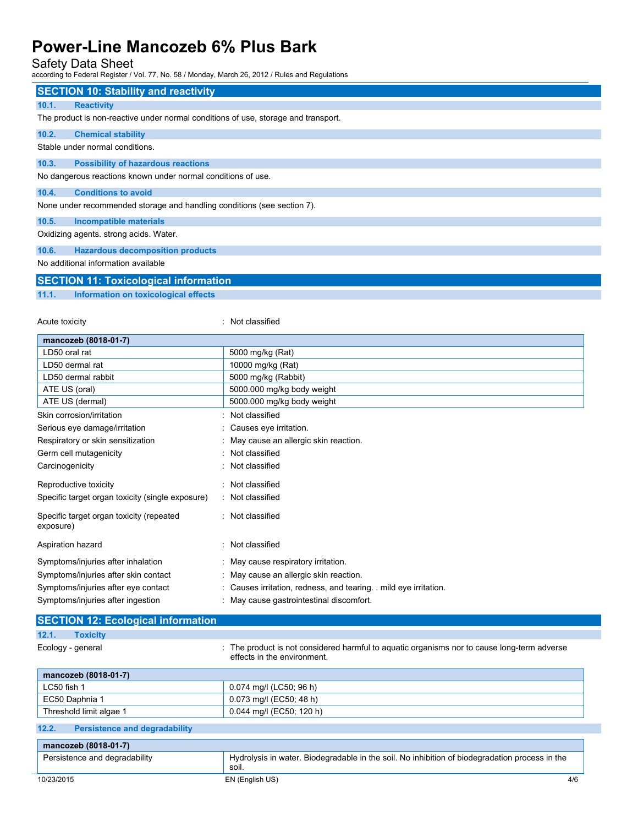### Safety Data Sheet

according to Federal Register / Vol. 77, No. 58 / Monday, March 26, 2012 / Rules and Regulations

| <b>SECTION 10: Stability and reactivity</b>                                        |  |  |  |  |
|------------------------------------------------------------------------------------|--|--|--|--|
| 10.1.<br><b>Reactivity</b>                                                         |  |  |  |  |
| The product is non-reactive under normal conditions of use, storage and transport. |  |  |  |  |
| 10.2.<br><b>Chemical stability</b>                                                 |  |  |  |  |
| Stable under normal conditions.                                                    |  |  |  |  |
| <b>Possibility of hazardous reactions</b><br>10.3.                                 |  |  |  |  |
| No dangerous reactions known under normal conditions of use.                       |  |  |  |  |
| <b>Conditions to avoid</b><br>10.4.                                                |  |  |  |  |
| None under recommended storage and handling conditions (see section 7).            |  |  |  |  |
| <b>Incompatible materials</b><br>10.5.                                             |  |  |  |  |
| Oxidizing agents. strong acids. Water.                                             |  |  |  |  |
| <b>Hazardous decomposition products</b><br>10.6.                                   |  |  |  |  |
| No additional information available                                                |  |  |  |  |

## **SECTION 11: Toxicological information**

#### **11.1. Information on toxicological effects**

| Acute toxicity                                                                                                                                         | Not classified                                                                                                                                                                           |
|--------------------------------------------------------------------------------------------------------------------------------------------------------|------------------------------------------------------------------------------------------------------------------------------------------------------------------------------------------|
| mancozeb (8018-01-7)                                                                                                                                   |                                                                                                                                                                                          |
| LD50 oral rat                                                                                                                                          | 5000 mg/kg (Rat)                                                                                                                                                                         |
| LD50 dermal rat                                                                                                                                        | 10000 mg/kg (Rat)                                                                                                                                                                        |
| LD50 dermal rabbit                                                                                                                                     | 5000 mg/kg (Rabbit)                                                                                                                                                                      |
| ATE US (oral)                                                                                                                                          | 5000.000 mg/kg body weight                                                                                                                                                               |
| ATE US (dermal)                                                                                                                                        | 5000.000 mg/kg body weight                                                                                                                                                               |
| Skin corrosion/irritation                                                                                                                              | Not classified                                                                                                                                                                           |
| Serious eye damage/irritation                                                                                                                          | Causes eye irritation.                                                                                                                                                                   |
| Respiratory or skin sensitization                                                                                                                      | May cause an allergic skin reaction.                                                                                                                                                     |
| Germ cell mutagenicity                                                                                                                                 | Not classified                                                                                                                                                                           |
| Carcinogenicity                                                                                                                                        | Not classified                                                                                                                                                                           |
| Reproductive toxicity                                                                                                                                  | Not classified                                                                                                                                                                           |
| Specific target organ toxicity (single exposure)                                                                                                       | : Not classified                                                                                                                                                                         |
| Specific target organ toxicity (repeated<br>exposure)                                                                                                  | : Not classified                                                                                                                                                                         |
| Aspiration hazard                                                                                                                                      | : Not classified                                                                                                                                                                         |
| Symptoms/injuries after inhalation<br>Symptoms/injuries after skin contact<br>Symptoms/injuries after eye contact<br>Symptoms/injuries after ingestion | : May cause respiratory irritation.<br>May cause an allergic skin reaction.<br>Causes irritation, redness, and tearing. . mild eye irritation.<br>May cause gastrointestinal discomfort. |

| <b>SECTION 12: Ecological information</b>     |                                                                                                                            |
|-----------------------------------------------|----------------------------------------------------------------------------------------------------------------------------|
| 12.1.<br><b>Toxicity</b>                      |                                                                                                                            |
| Ecology - general                             | : The product is not considered harmful to aquatic organisms nor to cause long-term adverse<br>effects in the environment. |
| mancozeb (8018-01-7)                          |                                                                                                                            |
| LC50 fish 1                                   | 0.074 mg/l (LC50; 96 h)                                                                                                    |
| EC50 Daphnia 1                                | 0.073 mg/l (EC50; 48 h)                                                                                                    |
| Threshold limit algae 1                       | 0.044 mg/l (EC50; 120 h)                                                                                                   |
| <b>Persistence and degradability</b><br>12.2. |                                                                                                                            |
| mancozeb (8018-01-7)                          |                                                                                                                            |
| Persistence and degradability                 | Hydrolysis in water. Biodegradable in the soil. No inhibition of biodegradation process in the<br>soil.                    |
| 10/23/2015                                    | EN (English US)<br>4/6                                                                                                     |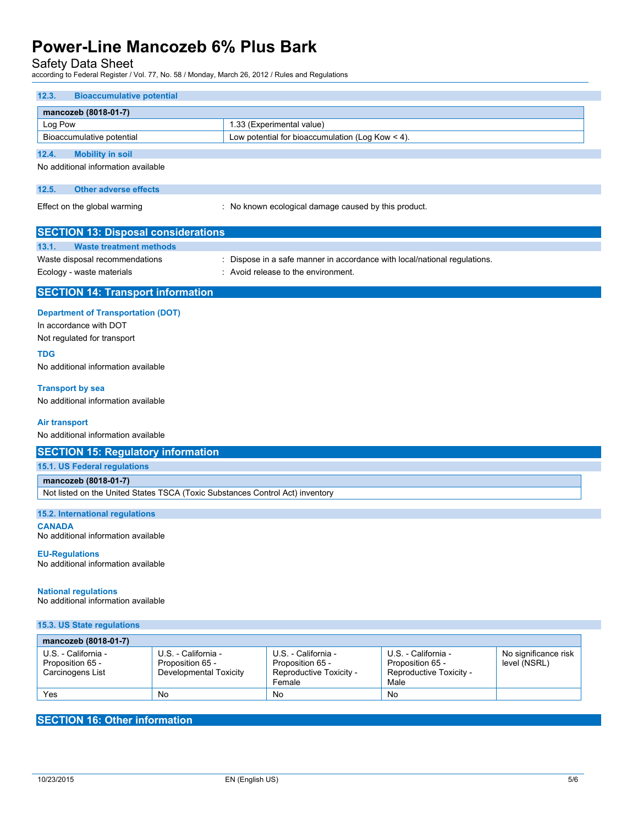### Safety Data Sheet

according to Federal Register / Vol. 77, No. 58 / Monday, March 26, 2012 / Rules and Regulations

| 12.3.<br><b>Bioaccumulative potential</b>                                     |                                                                           |
|-------------------------------------------------------------------------------|---------------------------------------------------------------------------|
| mancozeb (8018-01-7)                                                          |                                                                           |
| Log Pow                                                                       | 1.33 (Experimental value)                                                 |
| Bioaccumulative potential                                                     | Low potential for bioaccumulation (Log Kow < 4).                          |
| 12.4.<br><b>Mobility in soil</b>                                              |                                                                           |
| No additional information available                                           |                                                                           |
| <b>Other adverse effects</b><br>12.5.                                         |                                                                           |
| Effect on the global warming                                                  | : No known ecological damage caused by this product.                      |
| <b>SECTION 13: Disposal considerations</b>                                    |                                                                           |
| <b>Waste treatment methods</b><br>13.1.                                       |                                                                           |
| Waste disposal recommendations                                                | : Dispose in a safe manner in accordance with local/national regulations. |
| Ecology - waste materials                                                     | : Avoid release to the environment.                                       |
| <b>SECTION 14: Transport information</b>                                      |                                                                           |
| <b>Department of Transportation (DOT)</b><br>In accordance with DOT           |                                                                           |
| Not regulated for transport                                                   |                                                                           |
| TDG                                                                           |                                                                           |
| No additional information available                                           |                                                                           |
| <b>Transport by sea</b>                                                       |                                                                           |
| No additional information available                                           |                                                                           |
| <b>Air transport</b>                                                          |                                                                           |
| No additional information available                                           |                                                                           |
| <b>SECTION 15: Regulatory information</b>                                     |                                                                           |
| <b>15.1. US Federal regulations</b>                                           |                                                                           |
| mancozeb (8018-01-7)                                                          |                                                                           |
| Not listed on the United States TSCA (Toxic Substances Control Act) inventory |                                                                           |
| 15.2. International regulations                                               |                                                                           |
| <b>CANADA</b><br>No additional information available                          |                                                                           |
| <b>EU-Regulations</b><br>No additional information available                  |                                                                           |
| <b>National regulations</b>                                                   |                                                                           |

No additional information available

### **15.3. US State regulations**

| mancozeb (8018-01-7)                                        |                                                                   |                                                                              |                                                                            |                                      |
|-------------------------------------------------------------|-------------------------------------------------------------------|------------------------------------------------------------------------------|----------------------------------------------------------------------------|--------------------------------------|
| U.S. - California -<br>Proposition 65 -<br>Carcinogens List | U.S. - California -<br>Proposition 65 -<br>Developmental Toxicity | U.S. - California -<br>Proposition 65 -<br>Reproductive Toxicity -<br>Female | U.S. - California -<br>Proposition 65 -<br>Reproductive Toxicity -<br>Male | No significance risk<br>level (NSRL) |
| Yes                                                         | No                                                                | <b>No</b>                                                                    | No                                                                         |                                      |

## **SECTION 16: Other information**